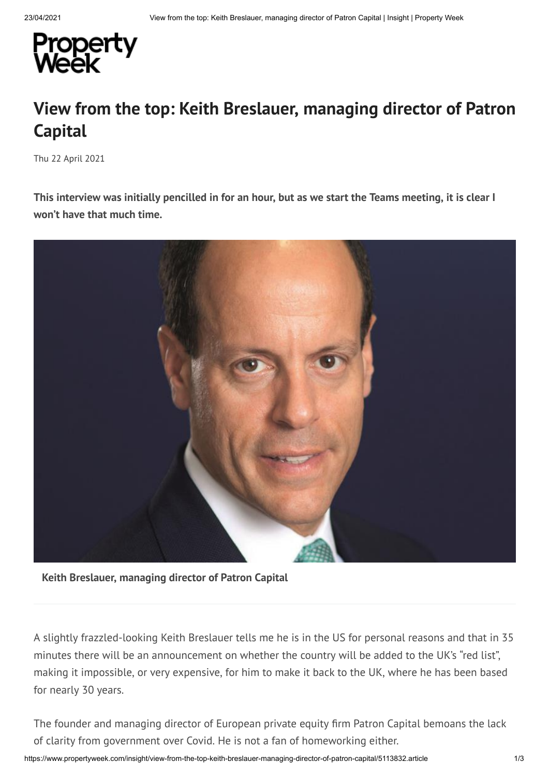

## **View from the top: Keith Breslauer, managing director of Patron Capital**

Thu 22 April 2021

This interview was initially pencilled in for an hour, but as we start the Teams meeting, it is clear I **won't have that much time.**



**Keith Breslauer, managing director of Patron Capital**

A slightly frazzled-looking Keith Breslauer tells me he is in the US for personal reasons and that in 35 minutes there will be an announcement on whether the country will be added to the UK's "red list", making it impossible, or very expensive, for him to make it back to the UK, where he has been based for nearly 30 years.

The founder and managing director of European private equity firm Patron Capital bemoans the lack of clarity from government over Covid. He is not a fan of homeworking either.

https://www.propertyweek.com/insight/view-from-the-top-keith-breslauer-managing-director-of-patron-capital/5113832.article 1/3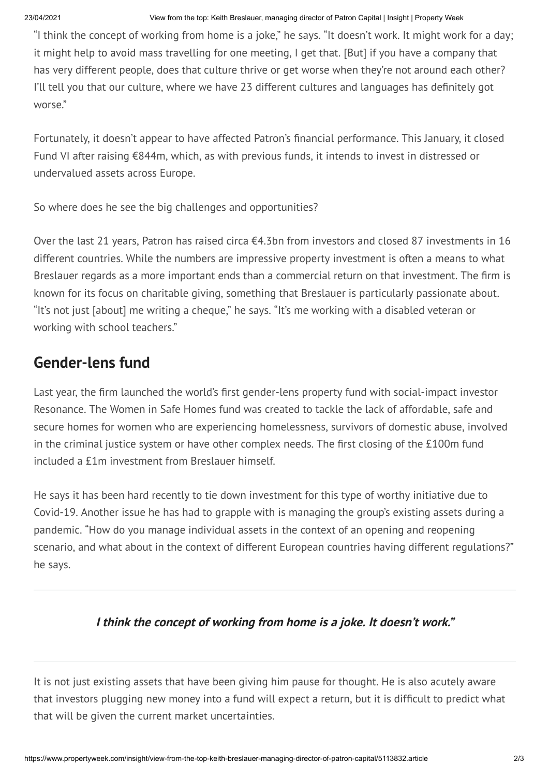"I think the concept of working from home is a joke," he says. "It doesn't work. It might work for a day; it might help to avoid mass travelling for one meeting, I get that. [But] if you have a company that has very different people, does that culture thrive or get worse when they're not around each other? I'll tell you that our culture, where we have 23 different cultures and languages has definitely got worse. "

Fortunately, it doesn't appear to have affected Patron's financial performance. This January, it closed Fund VI after raising €844m, which, as with previous funds, it intends to invest in distressed or undervalued assets across Europe.

So where does he see the big challenges and opportunities?

Over the last 21 years, Patron has raised circa €4.3bn from investors and closed 87 investments in 16 different countries. While the numbers are impressive property investment is often a means to what Breslauer regards as a more important ends than a commercial return on that investment. The firm is known for its focus on charitable giving, something that Breslauer is particularly passionate about. "It's not just [about] me writing a cheque, " he says. "It's me working with a disabled veteran or working with school teachers. "

## **Gender-lens fund**

Last year, the firm launched the world's first gender-lens property fund with social-impact investor Resonance. The Women in Safe Homes fund was created to tackle the lack of affordable, safe and secure homes for women who are experiencing homelessness, survivors of domestic abuse, involved in the criminal justice system or have other complex needs. The first closing of the £100m fund included a £1m investment from Breslauer himself.

He says it has been hard recently to tie down investment for this type of worthy initiative due to Covid-19. Another issue he has had to grapple with is managing the group's existing assets during a pandemic. "How do you manage individual assets in the context of an opening and reopening scenario, and what about in the context of different European countries having different regulations?" he says.

## **I think the concept of working from home is <sup>a</sup> joke. It doesn't work. "**

It is not just existing assets that have been giving him pause for thought. He is also acutely aware that investors plugging new money into a fund will expect a return, but it is difcult to predict what that will be given the current market uncertainties.